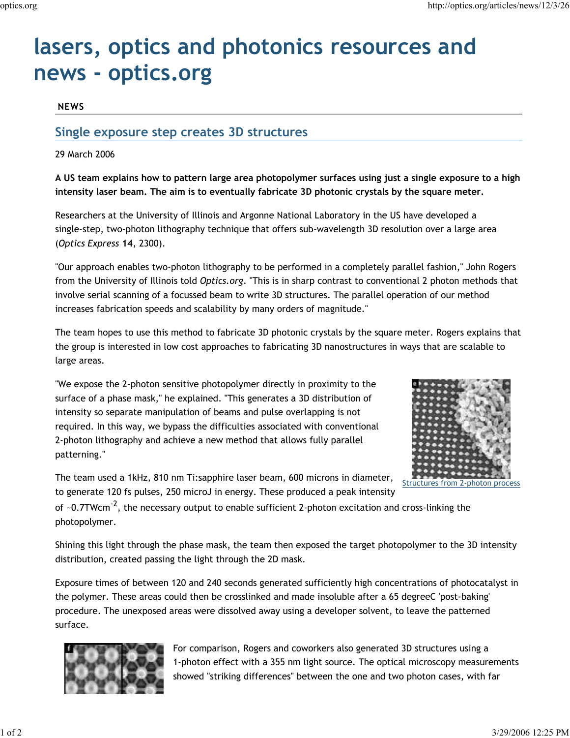# **lasers, optics and photonics resources and news - optics.org**

## **NEWS**

# **Single exposure step creates 3D structures**

29 March 2006

**A US team explains how to pattern large area photopolymer surfaces using just a single exposure to a high intensity laser beam. The aim is to eventually fabricate 3D photonic crystals by the square meter.**

Researchers at the University of Illinois and Argonne National Laboratory in the US have developed a single-step, two-photon lithography technique that offers sub-wavelength 3D resolution over a large area (*Optics Express* **14**, 2300).

"Our approach enables two-photon lithography to be performed in a completely parallel fashion," John Rogers from the University of Illinois told *Optics.org*. "This is in sharp contrast to conventional 2 photon methods that involve serial scanning of a focussed beam to write 3D structures. The parallel operation of our method increases fabrication speeds and scalability by many orders of magnitude."

The team hopes to use this method to fabricate 3D photonic crystals by the square meter. Rogers explains that the group is interested in low cost approaches to fabricating 3D nanostructures in ways that are scalable to large areas.

"We expose the 2-photon sensitive photopolymer directly in proximity to the surface of a phase mask," he explained. "This generates a 3D distribution of intensity so separate manipulation of beams and pulse overlapping is not required. In this way, we bypass the difficulties associated with conventional 2-photon lithography and achieve a new method that allows fully parallel patterning."



The team used a 1kHz, 810 nm Ti:sapphire laser beam, 600 microns in diameter, to generate 120 fs pulses, 250 microJ in energy. These produced a peak intensity

of  $\sim$ 0.7TWcm<sup>-2</sup>, the necessary output to enable sufficient 2-photon excitation and cross-linking the photopolymer.

Shining this light through the phase mask, the team then exposed the target photopolymer to the 3D intensity distribution, created passing the light through the 2D mask.

Exposure times of between 120 and 240 seconds generated sufficiently high concentrations of photocatalyst in the polymer. These areas could then be crosslinked and made insoluble after a 65 degreeC 'post-baking' procedure. The unexposed areas were dissolved away using a developer solvent, to leave the patterned surface.



For comparison, Rogers and coworkers also generated 3D structures using a 1-photon effect with a 355 nm light source. The optical microscopy measurements showed "striking differences" between the one and two photon cases, with far